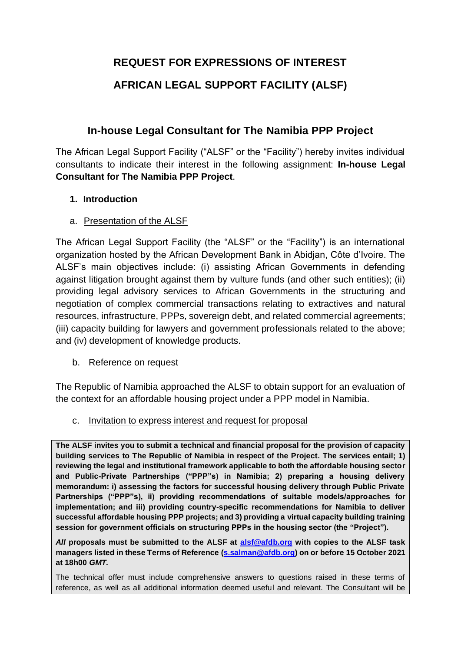# **REQUEST FOR EXPRESSIONS OF INTEREST**

# **AFRICAN LEGAL SUPPORT FACILITY (ALSF)**

# **In-house Legal Consultant for The Namibia PPP Project**

The African Legal Support Facility ("ALSF" or the "Facility") hereby invites individual consultants to indicate their interest in the following assignment: **In-house Legal Consultant for The Namibia PPP Project**.

# **1. Introduction**

a. Presentation of the ALSF

The African Legal Support Facility (the "ALSF" or the "Facility") is an international organization hosted by the African Development Bank in Abidjan, Côte d'Ivoire. The ALSF's main objectives include: (i) assisting African Governments in defending against litigation brought against them by vulture funds (and other such entities); (ii) providing legal advisory services to African Governments in the structuring and negotiation of complex commercial transactions relating to extractives and natural resources, infrastructure, PPPs, sovereign debt, and related commercial agreements; (iii) capacity building for lawyers and government professionals related to the above; and (iv) development of knowledge products.

#### b. Reference on request

The Republic of Namibia approached the ALSF to obtain support for an evaluation of the context for an affordable housing project under a PPP model in Namibia.

c. Invitation to express interest and request for proposal

**The ALSF invites you to submit a technical and financial proposal for the provision of capacity building services to The Republic of Namibia in respect of the Project. The services entail; 1) reviewing the legal and institutional framework applicable to both the affordable housing sector and Public-Private Partnerships ("PPP"s) in Namibia; 2) preparing a housing delivery memorandum: i) assessing the factors for successful housing delivery through Public Private Partnerships ("PPP"s), ii) providing recommendations of suitable models/approaches for implementation; and iii) providing country-specific recommendations for Namibia to deliver successful affordable housing PPP projects; and 3) providing a virtual capacity building training session for government officials on structuring PPPs in the housing sector (the "Project").** 

*All* **proposals must be submitted to the ALSF at [alsf@afdb.org](http://alsf@afdb.org) with copies to the ALSF task managers listed in these Terms of Reference [\(s.salman@afdb.org\)](http://s.salman@afdb.org) on or before 15 October 2021 at 18h00** *GMT.*

The technical offer must include comprehensive answers to questions raised in these terms of reference, as well as all additional information deemed useful and relevant. The Consultant will be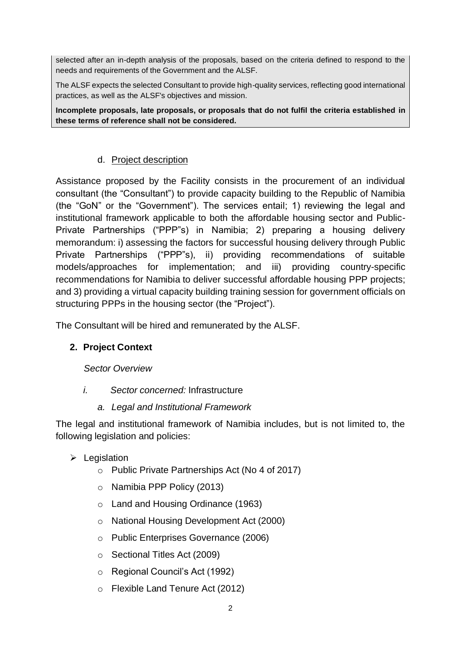selected after an in-depth analysis of the proposals, based on the criteria defined to respond to the needs and requirements of the Government and the ALSF.

The ALSF expects the selected Consultant to provide high-quality services, reflecting good international practices, as well as the ALSF's objectives and mission.

**Incomplete proposals, late proposals, or proposals that do not fulfil the criteria established in these terms of reference shall not be considered.**

### d. Project description

Assistance proposed by the Facility consists in the procurement of an individual consultant (the "Consultant") to provide capacity building to the Republic of Namibia (the "GoN" or the "Government"). The services entail; 1) reviewing the legal and institutional framework applicable to both the affordable housing sector and Public-Private Partnerships ("PPP"s) in Namibia; 2) preparing a housing delivery memorandum: i) assessing the factors for successful housing delivery through Public Private Partnerships ("PPP"s), ii) providing recommendations of suitable models/approaches for implementation; and iii) providing country-specific recommendations for Namibia to deliver successful affordable housing PPP projects; and 3) providing a virtual capacity building training session for government officials on structuring PPPs in the housing sector (the "Project").

The Consultant will be hired and remunerated by the ALSF.

# **2. Project Context**

*Sector Overview*

*i. Sector concerned:* Infrastructure

#### *a. Legal and Institutional Framework*

The legal and institutional framework of Namibia includes, but is not limited to, the following legislation and policies:

- $\triangleright$  Legislation
	- o Public Private Partnerships Act (No 4 of 2017)
	- o Namibia PPP Policy (2013)
	- o Land and Housing Ordinance (1963)
	- o National Housing Development Act (2000)
	- o Public Enterprises Governance (2006)
	- o Sectional Titles Act (2009)
	- o Regional Council's Act (1992)
	- o Flexible Land Tenure Act (2012)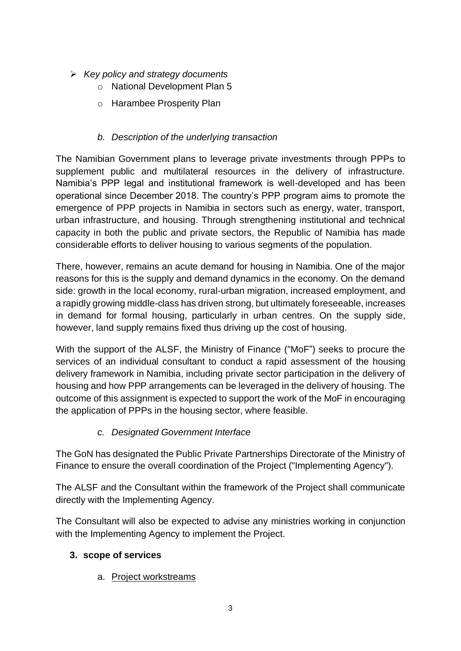- ➢ *Key policy and strategy documents* 
	- o National Development Plan 5
	- o Harambee Prosperity Plan

# *b. Description of the underlying transaction*

The Namibian Government plans to leverage private investments through PPPs to supplement public and multilateral resources in the delivery of infrastructure. Namibia's PPP legal and institutional framework is well-developed and has been operational since December 2018. The country's PPP program aims to promote the emergence of PPP projects in Namibia in sectors such as energy, water, transport, urban infrastructure, and housing. Through strengthening institutional and technical capacity in both the public and private sectors, the Republic of Namibia has made considerable efforts to deliver housing to various segments of the population.

There, however, remains an acute demand for housing in Namibia. One of the major reasons for this is the supply and demand dynamics in the economy. On the demand side: growth in the local economy, rural-urban migration, increased employment, and a rapidly growing middle-class has driven strong, but ultimately foreseeable, increases in demand for formal housing, particularly in urban centres. On the supply side, however, land supply remains fixed thus driving up the cost of housing.

With the support of the ALSF, the Ministry of Finance ("MoF") seeks to procure the services of an individual consultant to conduct a rapid assessment of the housing delivery framework in Namibia, including private sector participation in the delivery of housing and how PPP arrangements can be leveraged in the delivery of housing. The outcome of this assignment is expected to support the work of the MoF in encouraging the application of PPPs in the housing sector, where feasible.

# *c. Designated Government Interface*

The GoN has designated the Public Private Partnerships Directorate of the Ministry of Finance to ensure the overall coordination of the Project ("Implementing Agency").

The ALSF and the Consultant within the framework of the Project shall communicate directly with the Implementing Agency.

The Consultant will also be expected to advise any ministries working in conjunction with the Implementing Agency to implement the Project.

# **3. scope of services**

a. Project workstreams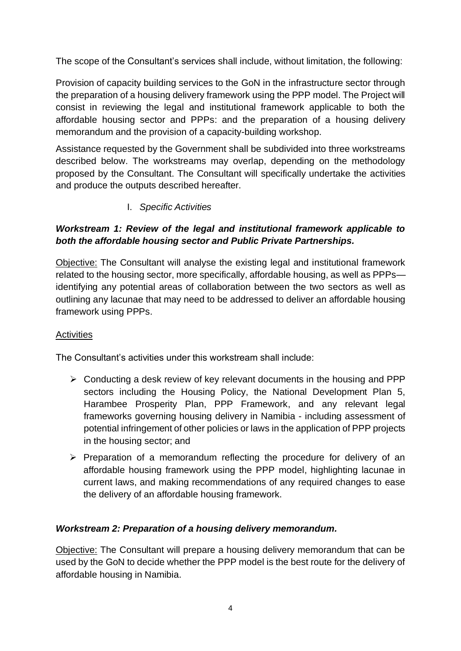The scope of the Consultant's services shall include, without limitation, the following:

Provision of capacity building services to the GoN in the infrastructure sector through the preparation of a housing delivery framework using the PPP model. The Project will consist in reviewing the legal and institutional framework applicable to both the affordable housing sector and PPPs: and the preparation of a housing delivery memorandum and the provision of a capacity-building workshop.

Assistance requested by the Government shall be subdivided into three workstreams described below. The workstreams may overlap, depending on the methodology proposed by the Consultant. The Consultant will specifically undertake the activities and produce the outputs described hereafter.

I. *Specific Activities*

# *Workstream 1: Review of the legal and institutional framework applicable to both the affordable housing sector and Public Private Partnerships.*

Objective: The Consultant will analyse the existing legal and institutional framework related to the housing sector, more specifically, affordable housing, as well as PPPs identifying any potential areas of collaboration between the two sectors as well as outlining any lacunae that may need to be addressed to deliver an affordable housing framework using PPPs.

# **Activities**

The Consultant's activities under this workstream shall include:

- $\triangleright$  Conducting a desk review of key relevant documents in the housing and PPP sectors including the Housing Policy, the National Development Plan 5, Harambee Prosperity Plan, PPP Framework, and any relevant legal frameworks governing housing delivery in Namibia - including assessment of potential infringement of other policies or laws in the application of PPP projects in the housing sector; and
- ➢ Preparation of a memorandum reflecting the procedure for delivery of an affordable housing framework using the PPP model, highlighting lacunae in current laws, and making recommendations of any required changes to ease the delivery of an affordable housing framework.

#### *Workstream 2: Preparation of a housing delivery memorandum.*

Objective: The Consultant will prepare a housing delivery memorandum that can be used by the GoN to decide whether the PPP model is the best route for the delivery of affordable housing in Namibia.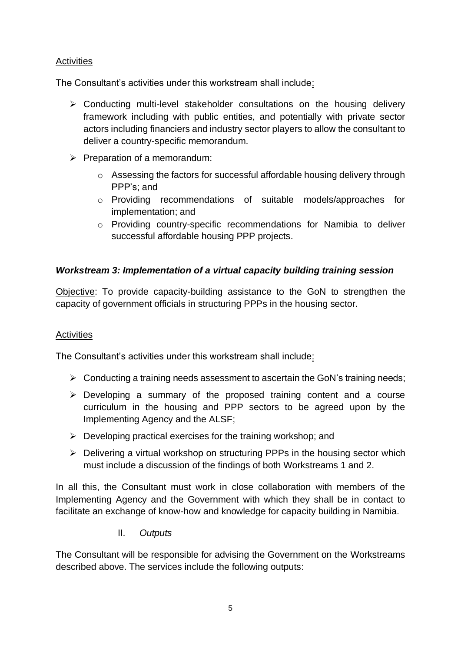### **Activities**

The Consultant's activities under this workstream shall include:

- ➢ Conducting multi-level stakeholder consultations on the housing delivery framework including with public entities, and potentially with private sector actors including financiers and industry sector players to allow the consultant to deliver a country-specific memorandum.
- ➢ Preparation of a memorandum:
	- o Assessing the factors for successful affordable housing delivery through PPP's; and
	- o Providing recommendations of suitable models/approaches for implementation; and
	- o Providing country-specific recommendations for Namibia to deliver successful affordable housing PPP projects.

### *Workstream 3: Implementation of a virtual capacity building training session*

Objective: To provide capacity-building assistance to the GoN to strengthen the capacity of government officials in structuring PPPs in the housing sector.

#### **Activities**

The Consultant's activities under this workstream shall include:

- $\triangleright$  Conducting a training needs assessment to ascertain the GoN's training needs;
- ➢ Developing a summary of the proposed training content and a course curriculum in the housing and PPP sectors to be agreed upon by the Implementing Agency and the ALSF;
- $\triangleright$  Developing practical exercises for the training workshop; and
- ➢ Delivering a virtual workshop on structuring PPPs in the housing sector which must include a discussion of the findings of both Workstreams 1 and 2.

In all this, the Consultant must work in close collaboration with members of the Implementing Agency and the Government with which they shall be in contact to facilitate an exchange of know-how and knowledge for capacity building in Namibia.

II. *Outputs*

The Consultant will be responsible for advising the Government on the Workstreams described above. The services include the following outputs: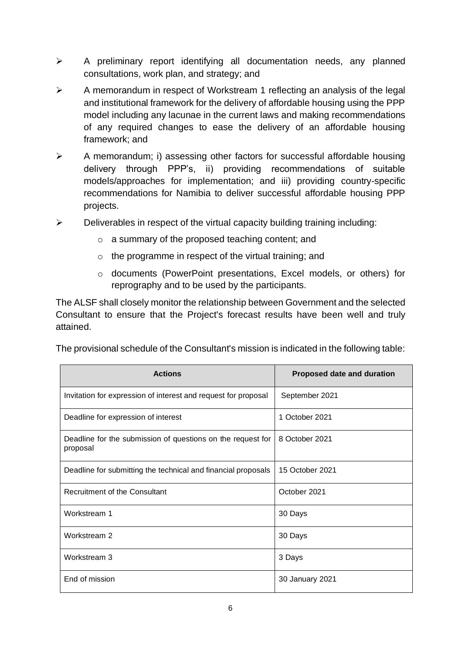- ➢ A preliminary report identifying all documentation needs, any planned consultations, work plan, and strategy; and
- ➢ A memorandum in respect of Workstream 1 reflecting an analysis of the legal and institutional framework for the delivery of affordable housing using the PPP model including any lacunae in the current laws and making recommendations of any required changes to ease the delivery of an affordable housing framework; and
- ➢ A memorandum; i) assessing other factors for successful affordable housing delivery through PPP's, ii) providing recommendations of suitable models/approaches for implementation; and iii) providing country-specific recommendations for Namibia to deliver successful affordable housing PPP projects.
- $\triangleright$  Deliverables in respect of the virtual capacity building training including:
	- o a summary of the proposed teaching content; and
	- o the programme in respect of the virtual training; and
	- o documents (PowerPoint presentations, Excel models, or others) for reprography and to be used by the participants.

The ALSF shall closely monitor the relationship between Government and the selected Consultant to ensure that the Project's forecast results have been well and truly attained.

The provisional schedule of the Consultant's mission is indicated in the following table:

| <b>Actions</b>                                                          | <b>Proposed date and duration</b> |
|-------------------------------------------------------------------------|-----------------------------------|
| Invitation for expression of interest and request for proposal          | September 2021                    |
| Deadline for expression of interest                                     | 1 October 2021                    |
| Deadline for the submission of questions on the request for<br>proposal | 8 October 2021                    |
| Deadline for submitting the technical and financial proposals           | 15 October 2021                   |
| Recruitment of the Consultant                                           | October 2021                      |
| Workstream 1                                                            | 30 Days                           |
| Workstream 2                                                            | 30 Days                           |
| Workstream 3                                                            | 3 Days                            |
| End of mission                                                          | 30 January 2021                   |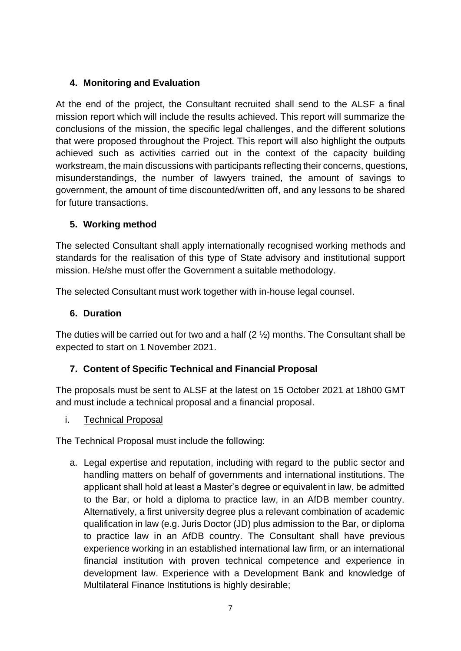# **4. Monitoring and Evaluation**

At the end of the project, the Consultant recruited shall send to the ALSF a final mission report which will include the results achieved. This report will summarize the conclusions of the mission, the specific legal challenges, and the different solutions that were proposed throughout the Project. This report will also highlight the outputs achieved such as activities carried out in the context of the capacity building workstream, the main discussions with participants reflecting their concerns, questions, misunderstandings, the number of lawyers trained, the amount of savings to government, the amount of time discounted/written off, and any lessons to be shared for future transactions.

# **5. Working method**

The selected Consultant shall apply internationally recognised working methods and standards for the realisation of this type of State advisory and institutional support mission. He/she must offer the Government a suitable methodology.

The selected Consultant must work together with in-house legal counsel.

# **6. Duration**

The duties will be carried out for two and a half  $(2  $\frac{1}{2}$ )$  months. The Consultant shall be expected to start on 1 November 2021.

# **7. Content of Specific Technical and Financial Proposal**

The proposals must be sent to ALSF at the latest on 15 October 2021 at 18h00 GMT and must include a technical proposal and a financial proposal.

i. Technical Proposal

The Technical Proposal must include the following:

a. Legal expertise and reputation, including with regard to the public sector and handling matters on behalf of governments and international institutions. The applicant shall hold at least a Master's degree or equivalent in law, be admitted to the Bar, or hold a diploma to practice law, in an AfDB member country. Alternatively, a first university degree plus a relevant combination of academic qualification in law (e.g. Juris Doctor (JD) plus admission to the Bar, or diploma to practice law in an AfDB country. The Consultant shall have previous experience working in an established international law firm, or an international financial institution with proven technical competence and experience in development law. Experience with a Development Bank and knowledge of Multilateral Finance Institutions is highly desirable;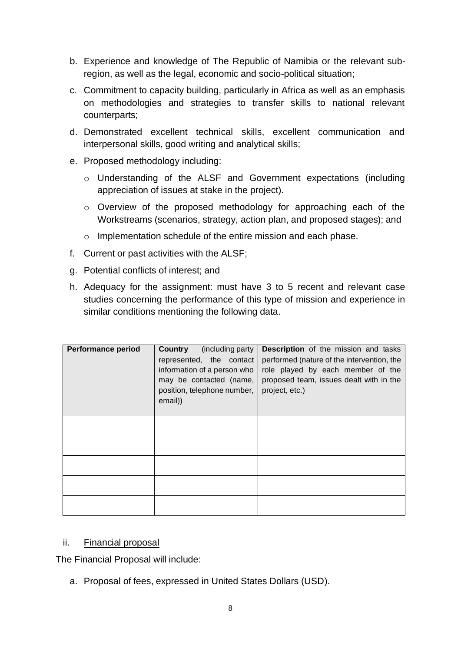- b. Experience and knowledge of The Republic of Namibia or the relevant subregion, as well as the legal, economic and socio-political situation;
- c. Commitment to capacity building, particularly in Africa as well as an emphasis on methodologies and strategies to transfer skills to national relevant counterparts;
- d. Demonstrated excellent technical skills, excellent communication and interpersonal skills, good writing and analytical skills;
- e. Proposed methodology including:
	- o Understanding of the ALSF and Government expectations (including appreciation of issues at stake in the project).
	- o Overview of the proposed methodology for approaching each of the Workstreams (scenarios, strategy, action plan, and proposed stages); and
	- o Implementation schedule of the entire mission and each phase.
- f. Current or past activities with the ALSF;
- g. Potential conflicts of interest; and
- h. Adequacy for the assignment: must have 3 to 5 recent and relevant case studies concerning the performance of this type of mission and experience in similar conditions mentioning the following data.

| <b>Performance period</b> | Country<br>(including party)<br>represented, the contact<br>information of a person who<br>may be contacted (name,<br>position, telephone number,<br>email)) | <b>Description</b> of the mission and tasks<br>performed (nature of the intervention, the<br>role played by each member of the<br>proposed team, issues dealt with in the<br>project, etc.) |
|---------------------------|--------------------------------------------------------------------------------------------------------------------------------------------------------------|---------------------------------------------------------------------------------------------------------------------------------------------------------------------------------------------|
|                           |                                                                                                                                                              |                                                                                                                                                                                             |
|                           |                                                                                                                                                              |                                                                                                                                                                                             |
|                           |                                                                                                                                                              |                                                                                                                                                                                             |
|                           |                                                                                                                                                              |                                                                                                                                                                                             |
|                           |                                                                                                                                                              |                                                                                                                                                                                             |

#### ii. Financial proposal

The Financial Proposal will include:

a. Proposal of fees, expressed in United States Dollars (USD).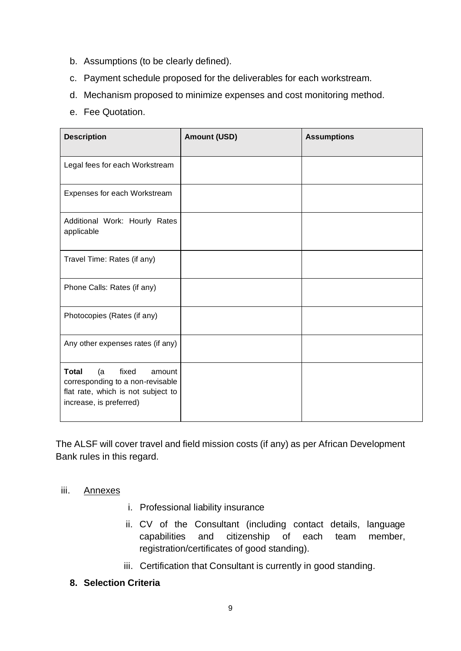- b. Assumptions (to be clearly defined).
- c. Payment schedule proposed for the deliverables for each workstream.
- d. Mechanism proposed to minimize expenses and cost monitoring method.
- e. Fee Quotation.

| <b>Description</b>                                                                                                                         | <b>Amount (USD)</b> | <b>Assumptions</b> |
|--------------------------------------------------------------------------------------------------------------------------------------------|---------------------|--------------------|
| Legal fees for each Workstream                                                                                                             |                     |                    |
| Expenses for each Workstream                                                                                                               |                     |                    |
| Additional Work: Hourly Rates<br>applicable                                                                                                |                     |                    |
| Travel Time: Rates (if any)                                                                                                                |                     |                    |
| Phone Calls: Rates (if any)                                                                                                                |                     |                    |
| Photocopies (Rates (if any)                                                                                                                |                     |                    |
| Any other expenses rates (if any)                                                                                                          |                     |                    |
| <b>Total</b><br>fixed<br>(a<br>amount<br>corresponding to a non-revisable<br>flat rate, which is not subject to<br>increase, is preferred) |                     |                    |

The ALSF will cover travel and field mission costs (if any) as per African Development Bank rules in this regard.

#### iii. Annexes

- i. Professional liability insurance
- ii. CV of the Consultant (including contact details, language capabilities and citizenship of each team member, registration/certificates of good standing).
- iii. Certification that Consultant is currently in good standing.

#### **8. Selection Criteria**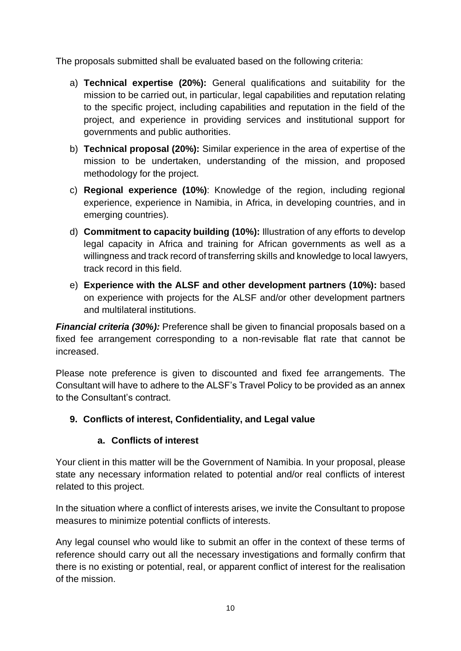The proposals submitted shall be evaluated based on the following criteria:

- a) **Technical expertise (20%):** General qualifications and suitability for the mission to be carried out, in particular, legal capabilities and reputation relating to the specific project, including capabilities and reputation in the field of the project, and experience in providing services and institutional support for governments and public authorities.
- b) **Technical proposal (20%):** Similar experience in the area of expertise of the mission to be undertaken, understanding of the mission, and proposed methodology for the project.
- c) **Regional experience (10%)**: Knowledge of the region, including regional experience, experience in Namibia, in Africa, in developing countries, and in emerging countries).
- d) **Commitment to capacity building (10%):** Illustration of any efforts to develop legal capacity in Africa and training for African governments as well as a willingness and track record of transferring skills and knowledge to local lawyers, track record in this field.
- e) **Experience with the ALSF and other development partners (10%):** based on experience with projects for the ALSF and/or other development partners and multilateral institutions.

*Financial criteria (30%):* Preference shall be given to financial proposals based on a fixed fee arrangement corresponding to a non-revisable flat rate that cannot be increased.

Please note preference is given to discounted and fixed fee arrangements. The Consultant will have to adhere to the ALSF's Travel Policy to be provided as an annex to the Consultant's contract.

# **9. Conflicts of interest, Confidentiality, and Legal value**

# **a. Conflicts of interest**

Your client in this matter will be the Government of Namibia. In your proposal, please state any necessary information related to potential and/or real conflicts of interest related to this project.

In the situation where a conflict of interests arises, we invite the Consultant to propose measures to minimize potential conflicts of interests.

Any legal counsel who would like to submit an offer in the context of these terms of reference should carry out all the necessary investigations and formally confirm that there is no existing or potential, real, or apparent conflict of interest for the realisation of the mission.